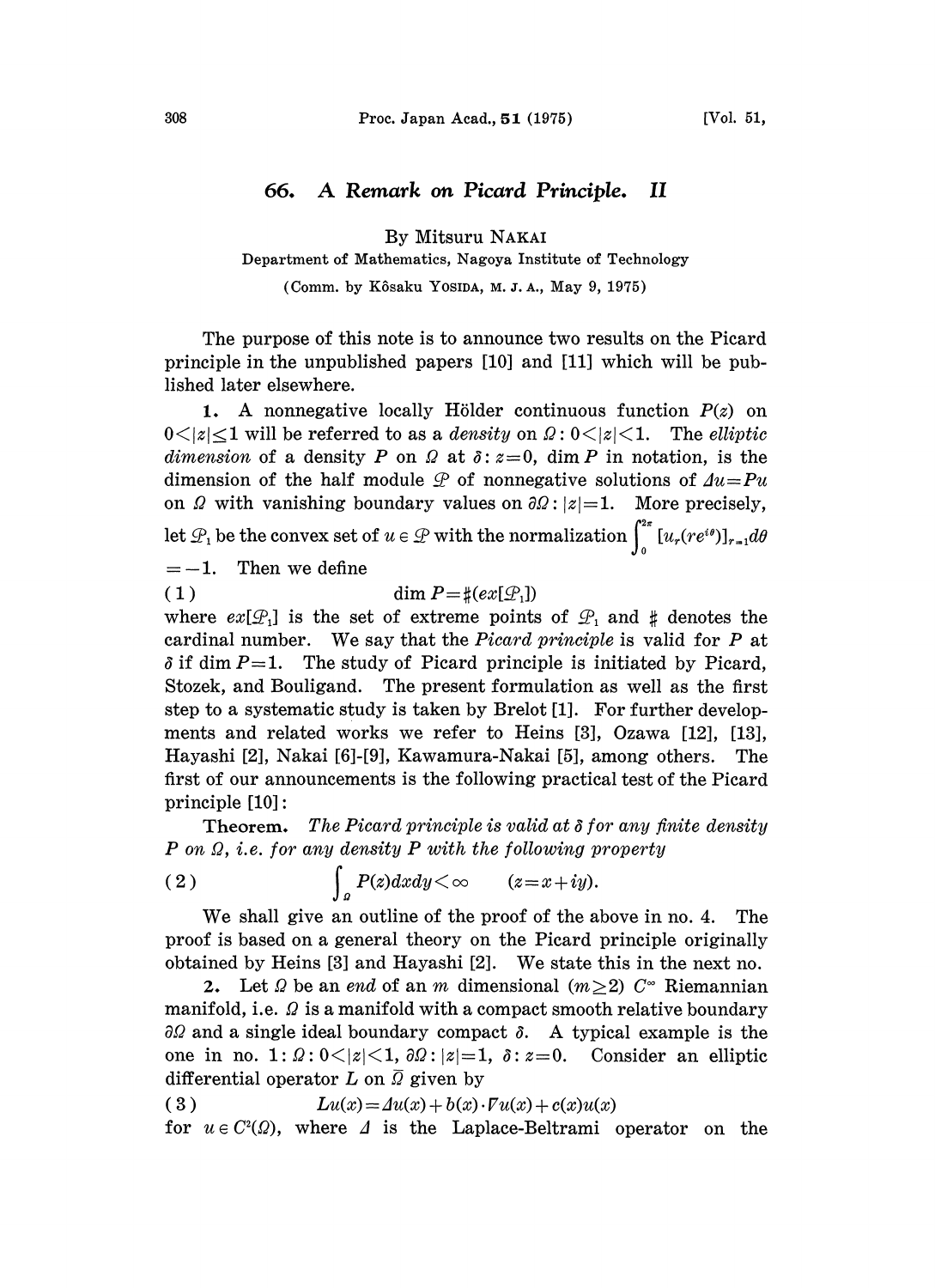## 66. A Remark on Picard Principle. II

By Mitsuru NAKAI

Department of Mathematics, Nagoya Institute of Technology

(Comm. by Kôsaku Yosida, M.J.A., May 9, 1975)

The purpose of this note is to announce two results on the Picard principle in the unpublished papers [10] and [11] which will be published later elsewhere.

1. A nonnegative locally Hölder continuous function  $P(z)$  on  $0 \le |z| \le 1$  will be referred to as a *density* on  $\Omega: 0 \le |z| \le 1$ . The *elliptic* dimension of a density P on  $\Omega$  at  $\delta$ :  $z=0$ , dim P in notation, is the dimension of the half module  $\mathcal P$  of nonnegative solutions of  $\Lambda u = Pu$ dimension of the half module  $\mathcal P$  of nonnegative solutions of  $\Delta u = Pu$ on  $\Omega$  with vanishing boundary values on  $\partial \Omega$ :  $|z|=1$ . More precisely, let  $\mathcal{P}_1$  be the convex set of  $u \in \mathcal{P}$  with the normalization  $\int_{0}^{2\pi} [u_r(re^{i\theta})]_{r=1} d\theta$ 

 $=-1.$  Then we define

$$
(1) \t\dim P = \#(ex[\mathcal{P}_1])
$$

where  $ex[\mathcal{P}_1]$  is the set of extreme points of  $\mathcal{P}_1$  and  $\sharp$  denotes the cardinal number. We say that the *Picard principle* is valid for  $P$  at  $\delta$  if dim P=1. The study of Picard principle is initiated by Picard, Stozek, and Bouligand. The present formulation as well as the first step to a systematic study is taken by Brelot [1]. For further developments and related works we refer to Heins [3], Ozawa [12], [13], Hayashi [2], Nakai [6]-[9], Kawamura-Nakai [5], among others. The first of our announcements is the following practical test of the Picard principle [10]:

**Theorem.** The Picard principle is valid at  $\delta$  for any finite density  $P$  on  $\Omega$ , i.e. for any density  $P$  with the following property

(2) 
$$
\int_{a} P(z) dxdy < \infty \qquad (z=x+iy).
$$

We shall give an outline of the proof of the above in no. 4. The proof is based on a general theory on the Picard principle originally obtained by Heins [3] and Hayashi [2]. We state this in the next no.

2. Let  $\Omega$  be an end of an m dimensional  $(m\geq 2)$   $C^{\infty}$  Riemannian manifold, i.e.  $\Omega$  is a manifold with a compact smooth relative boundary  $\partial\Omega$  and a single ideal boundary compact  $\delta$ . A typical example is the one in no. 1:  $\Omega$ :  $0 \le |z| \le 1$ ,  $\partial \Omega$ :  $|z|=1$ ,  $\delta$ :  $z=0$ . Consider an elliptic differential operator L on  $\overline{Q}$  given by

(3) 
$$
Lu(x) = Au(x) + b(x) \cdot Fu(x) + c(x)u(x)
$$
  
for  $u \in C^2(\Omega)$ , where  $\Delta$  is the Laplace-Beltrami operator on the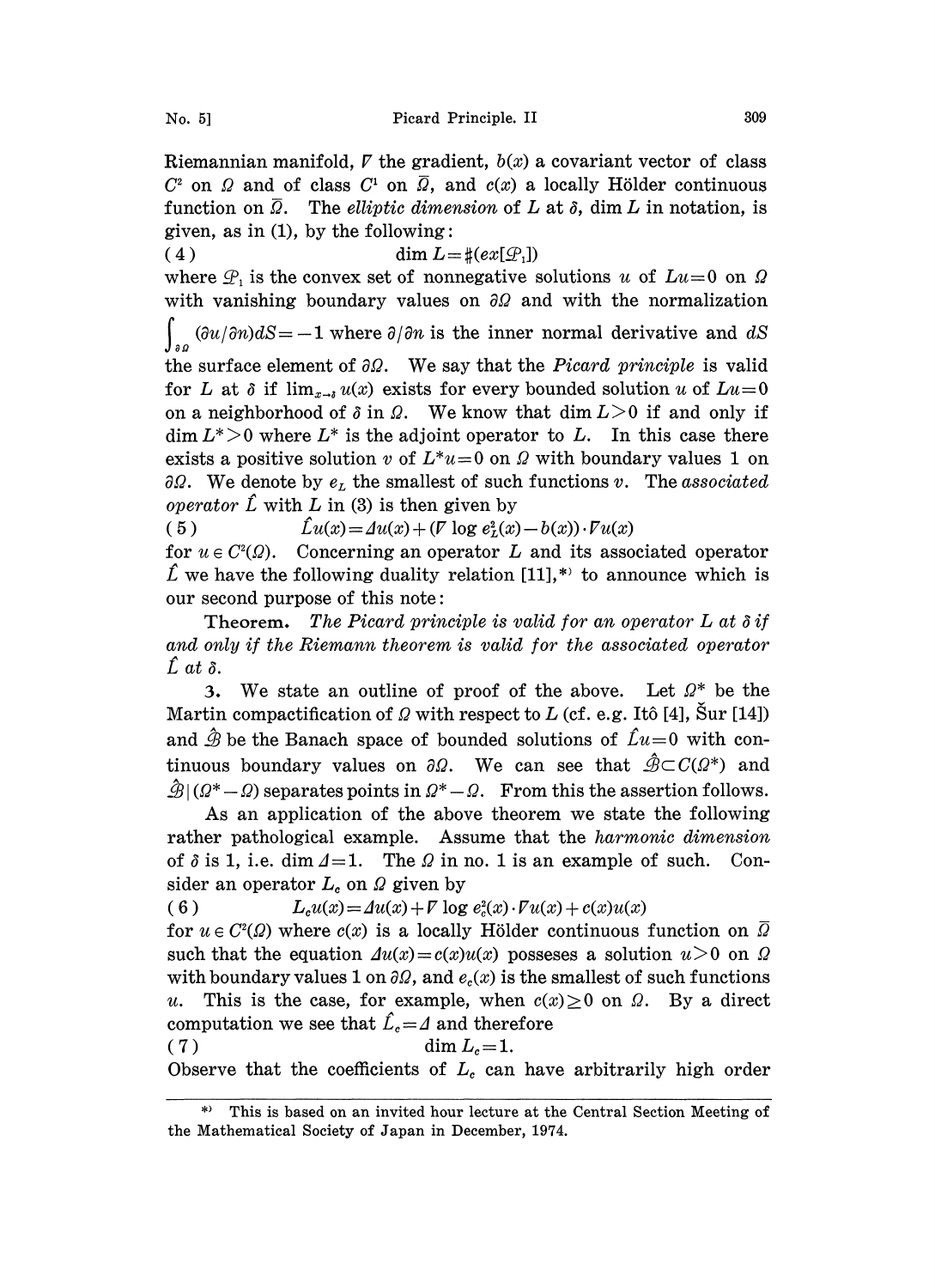Riemannian manifold,  $\nabla$  the gradient,  $b(x)$  a covariant vector of class  $C^2$  on  $\Omega$  and of class  $C^1$  on  $\overline{\Omega}$ , and  $c(x)$  a locally Hölder continuous function on  $\overline{\Omega}$ . The elliptic dimension of L at  $\delta$ , dim L in notation, is given, as in  $(1)$ , by the following:

( 4 ) dim  $L = \frac{\mu}{e} (ex[\mathcal{Q}_1])$ where  $\mathcal{P}_1$  is the convex set of nonnegative solutions u of  $Lu=0$  on  $\Omega$ with vanishing boundary values on  $\partial\Omega$  and with the normalization

 $\int_{\partial \Omega} (\partial u / \partial n) dS = -1$  where  $\partial / \partial n$  is the inner normal derivative and dS

the surface element of  $\partial \Omega$ . We say that the *Picard principle* is valid for L at  $\delta$  if  $\lim_{x\to\delta}u(x)$  exists for every bounded solution u of  $Lu=0$ on a neighborhood of  $\delta$  in  $\Omega$ . We know that dim  $L>0$  if and only if  $\dim L^* > 0$  where  $L^*$  is the adjoint operator to L. In this case there exists a positive solution v of  $L^*u=0$  on  $\Omega$  with boundary values 1 on  $\partial\Omega$ . We denote by  $e_L$  the smallest of such functions v. The associated *operator*  $\hat{L}$  with  $L$  in (3) is then given by

( 5 )  $\hat{L}u(x) = Au(x) + (V \log e_t^2(x) - b(x)) \cdot Vu(x)$ 

for  $u \in C^2(\Omega)$ . Concerning an operator L and its associated operator  $\hat{L}$  we have the following duality relation [11],\* to announce which is our second purpose of this note:

Theorem. The Picard principle is valid for an operator  $L$  at  $\delta$  if and only if the Riemann theorem is valid for the associated operator  $\hat{L}$  at  $\delta$ .

3. We state an outline of proof of the above. Let  $\Omega^*$  be the Martin compactification of  $\Omega$  with respect to L (cf. e.g. Itô [4], Sur [14]) and  $\hat{\mathcal{B}}$  be the Banach space of bounded solutions of  $\hat{L}u=0$  with continuous boundary values on  $\partial \Omega$ . We can see that  $\hat{\mathcal{B}} \subset C(\Omega^*)$  and  $\hat{\mathcal{B}} | (Q^* - Q)$  separates points in  $Q^* - Q$ . From this the assertion follows.

As an application of the above theorem we state the following rather pathological example. Assume that the *harmonic dimension* of  $\delta$  is 1, i.e. dim  $\Delta = 1$ . The  $\Omega$  in no. 1 is an example of such. Consider an operator  $L_c$  on  $\Omega$  given by

( 6 )  $L_c u(x) = \Delta u(x) + \nabla \log e_c^2(x) \cdot \nabla u(x) + c(x)u(x)$ 

for  $u \in C^2(\Omega)$  where  $c(x)$  is a locally Hölder continuous function on  $\overline{\Omega}$ such that the equation  $\Delta u(x) = c(x)u(x)$  possesses a solution  $u>0$  on  $\Omega$ with boundary values 1 on  $\partial\Omega$ , and  $e_c(x)$  is the smallest of such functions This is the case, for example, when  $c(x) \geq 0$  on  $\Omega$ . By a direct computation we see that  $\hat{L}_c = \hat{\Delta}$  and therefore

( 7 ) dim L--1.

Observe that the coefficients of  $L_c$  can have arbitrarily high order

<sup>\*)</sup> This is based on an invited hour lecture at the Central Section Meeting of the Mathematical Society of Japan in December, 1974.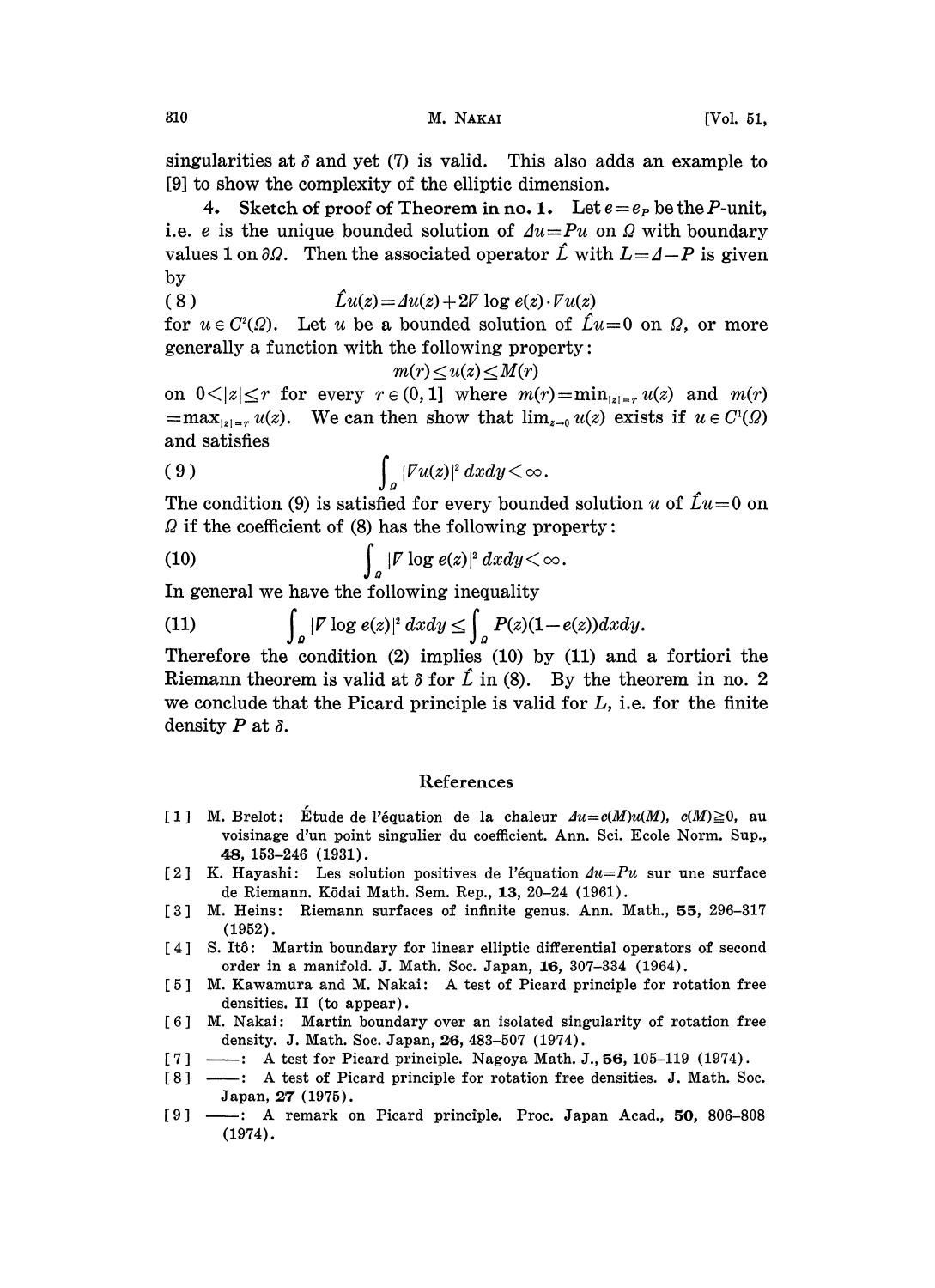singularities at  $\delta$  and yet (7) is valid. This also adds an example to [9] to show the complexity of the elliptic dimension.

4. Sketch of proof of Theorem in no. 1. Let  $e = e_P$  be the P-unit, i.e. e is the unique bounded solution of  $Au=Pu$  on  $\Omega$  with boundary values 1 on  $\partial\Omega$ . Then the associated operator  $\hat{L}$  with  $L=4-P$  is given by

( <sup>8</sup> ) ]u(z) Au(z) + 2V log e(z). Vu(z)

for  $u \in C^2(\Omega)$ . Let u be a bounded solution of  $\mathcal{L}u=0$  on  $\Omega$ , or more generally a function with the following property:

$$
m(r) \le u(z) \le M(r)
$$

on  $0<|z|\leq r$  for every  $r\in(0, 1]$  where  $m(r)=\min_{|z|=r} u(z)$  and  $m(r)$  $=\max_{|z|=r} u(z)$ . We can then show that  $\lim_{z\to 0} u(z)$  exists if  $u \in C^1(\Omega)$ and satisfies

$$
\int_{a} |Fu(z)|^{2} dx dy < \infty.
$$

The condition (9) is satisfied for every bounded solution u of  $\hat{L}u=0$  on  $\Omega$  if the coefficient of (8) has the following property:

(10) 
$$
\int_{a} |\mathbf{F} \log e(z)|^{2} dx dy < \infty.
$$

In general we have the following inequality  
\n(11) 
$$
\int_{\Omega} |F| \log e(z)|^2 dx dy \leq \int_{\Omega} P(z)(1-e(z)) dx dy.
$$

Therefore the condition  $(2)$  implies  $(10)$  by  $(11)$  and a fortiori the Riemann theorem is valid at  $\delta$  for  $\hat{L}$  in (8). By the theorem in no. 2 we conclude that the Picard principle is valid for  $L$ , i.e. for the finite density P at  $\delta$ .

## References

- [1] M. Brelot: Étude de l'équation de la chaleur  $Au = c(M)u(M), c(M) \ge 0$ , au voisinage d'un point singulier du coefficient. Ann. Sci. Ecole Norm. Sup., 48, 153-246 (1931).
- [2] K. Hayashi: Les solution positives de l'équation  $Au=Pu$  sur une surface de Riemann. K6dai Math. Sem. Rep., 13, 20-24 (1961).
- [3] M. Heins: Riemann surfaces of infinite genus. Ann. Math., 55, 296-317 (1952).
- [4] S. Itô: Martin boundary for linear elliptic differential operators of second order in a manifold. J. Math. Soc. Japan, 16, 307-334 (1964).
- [5] M. Kawamura and M. Nakai: A test of Picard principle for rotation free densities. II (to appear).
- 6 M. Nakai: Martin boundary over an isolated singularity of rotation free<br>density. J. Math. Soc. Japan, 26, 483-507 (1974).<br>7 : A test for Picard principle. Nagoya Math. J., 56, 105-119 (1974).<br>9 : A test of Picard princi density. J. Math. Soc. Japan, 26, 483-507 (1974).
- [7] -- : A test for Picard principle. Nagoya Math. J., 56, 105-119 (1974).<br>[8] -- : A test of Picard principle for rotation free densities. J. Math. Soc.
- Japan, 27 (1975).
- [9] : A remark on Picard principle. Proc. Japan Acad., 50, 806-808 (1974).